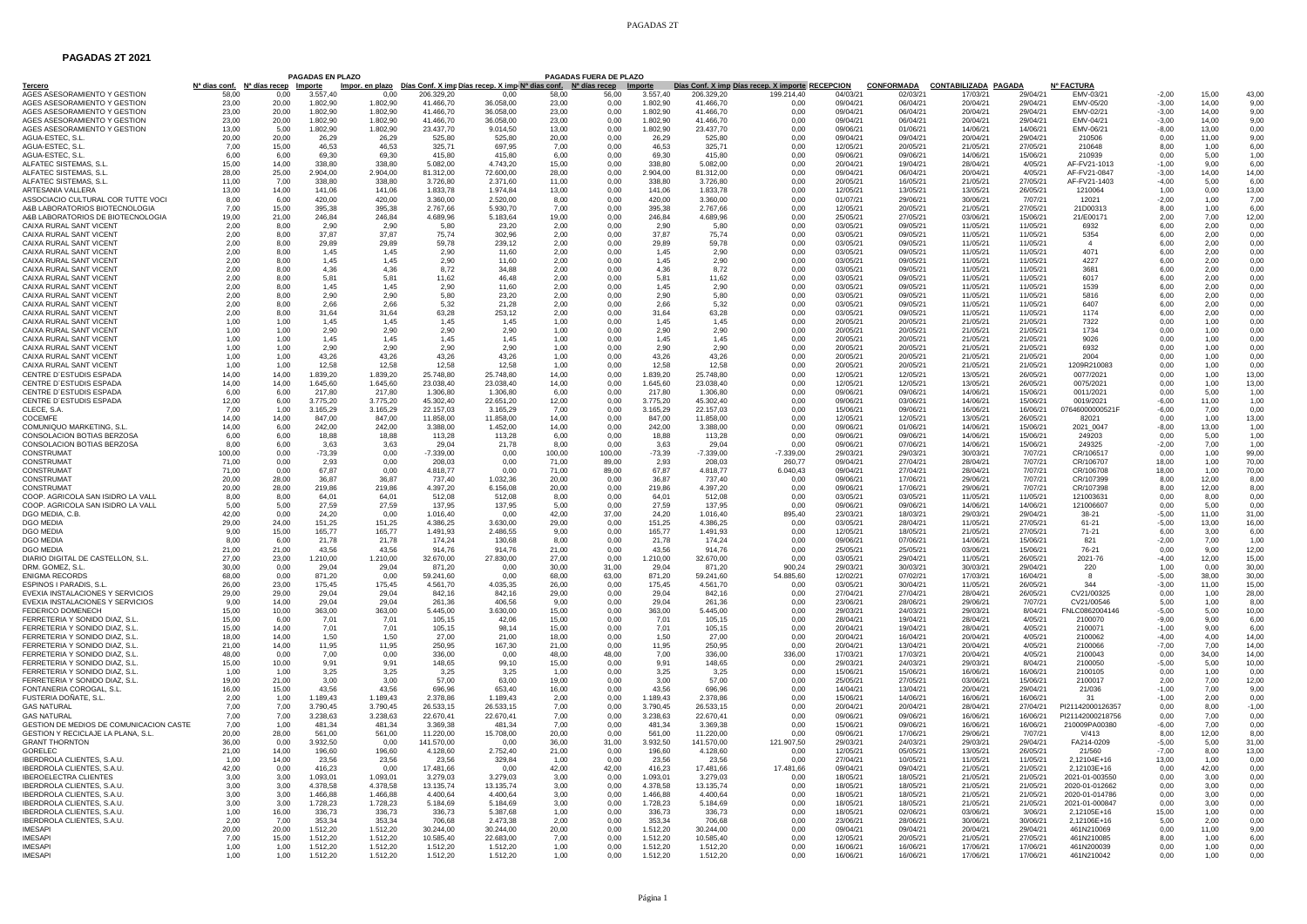## PAGADAS 2T

## **PAGADAS 2T 2021**

|                                                                |                |                                             | <b>PAGADAS EN PLAZO</b> |                      |                        |                                                                                        |                | <b>PAGADAS FUERA DE PLAZO</b> |                      |                        |                                                                |                      |                              |                                         |                      |                                  |                    |                |                 |
|----------------------------------------------------------------|----------------|---------------------------------------------|-------------------------|----------------------|------------------------|----------------------------------------------------------------------------------------|----------------|-------------------------------|----------------------|------------------------|----------------------------------------------------------------|----------------------|------------------------------|-----------------------------------------|----------------------|----------------------------------|--------------------|----------------|-----------------|
| Tercero<br>AGES ASESORAMIENTO Y GESTION                        | 58.00          | Nª dias conf. Nª días recep Importe<br>0.00 | 3.557.40                | 0.00                 | 206.329.20             | Impor. en plazo Días Conf. X imp Días recep. X imp Nª dias conf. Nª días recep<br>0.00 | 58.00          | 56.00                         | Importe<br>3.557.40  | 206.329.20             | Días Conf. X imp Días recep. X importe RECEPCION<br>199.214.40 | 04/03/21             | <b>CONFORMADA</b><br>02/03/2 | <b>CONTABILIZADA PAGADA</b><br>17/03/21 | 29/04/21             | <b>Nº FACTURA</b><br>FMV-03/21   | $-2.00$            | 15.00          | 43.00           |
| AGES ASESORAMIENTO Y GESTION                                   | 23.00          | 20.00                                       | 1.802.90                | 1.802.90             | 41,466.70              | 36.058.00                                                                              | 23.00          | 0.00                          | 1.802.90             | 41.466.70              | 0.00                                                           | 09/04/2              | 06/04/21                     | 20/04/21                                | 29/04/21             | FMV-05/20                        | $-3.00$            | 14.00          | 9.00            |
| AGES ASESORAMIENTO Y GESTION                                   | 23.00          | 20.00                                       | 1.802.90                | 1.802.90             | 41.466,70              | 36.058.00                                                                              | 23.00          | 0.00                          | 1.802.90             | 41.466,70              | 0.00                                                           | 09/04/2              | 06/04/21                     | 20/04/21                                | 29/04/21             | EMV-02/21                        | $-3.00$            | 14.00          | 9.00            |
| AGES ASESORAMIENTO Y GESTION                                   | 23.00          | 20.00                                       | 1.802.90                | 1.802,90             | 41.466.70              | 36.058.00                                                                              | 23.00          | 0.00                          | 1.802.90             | 41.466.70              | 0.00                                                           | 09/04/21             | 06/04/21                     | 20/04/21                                | 29/04/21             | EMV-04/21                        | $-3.00$            | 14.00          | 9,00            |
| AGES ASESORAMIENTO Y GESTION                                   | 13.00          | 5.00                                        | 1.802.90                | 1.802.90             | 23,437.70              | 9.014.50                                                                               | 13.00          | 0.00                          | 1.802,90             | 23.437.70              | 0.00                                                           | 09/06/21             | 01/06/2                      | 14/06/21                                | 14/06/21             | EMV-06/21                        | $-8,00$            | 13,00          | 0.00            |
| AGUA-ESTEC, S.L.<br>AGUA-ESTEC, S.L.                           | 20.00<br>7.00  | 20.00<br>15,00                              | 26.29<br>46,53          | 26.29<br>46,53       | 525.80<br>325,71       | 525.80<br>697,95                                                                       | 20.00<br>7,00  | 0.00<br>0,00                  | 26.29<br>46,53       | 525.80<br>325,71       | 0.00<br>0,00                                                   | 09/04/21<br>12/05/21 | 09/04/21<br>20/05/21         | 20/04/21<br>21/05/21                    | 29/04/21<br>27/05/21 | 210506<br>210648                 | 0.00<br>8,00       | 11.00<br>1.00  | 9.00<br>6,00    |
| AGUA-ESTEC. S.L.                                               | 6.00           | 6.00                                        | 69.30                   | 69.30                | 415.80                 | 415.80                                                                                 | 6.00           | 0.00                          | 69.30                | 415,80                 | 0.00                                                           | 09/06/21             | 09/06/21                     | 14/06/21                                | 15/06/21             | 210939                           | 0.00               | 5,00           | 1.00            |
| ALFATEC SISTEMAS, S.L                                          | 15,00          | 14,00                                       | 338,80                  | 338,80               | 5.082,00               | 4.743,20                                                                               | 15,00          | 0,00                          | 338,80               | 5.082,00               | 0,00                                                           | 20/04/21             | 19/04/21                     | 28/04/21                                | 4/05/21              | AF-FV21-1013                     | $-1,00$            | 9,00           | 6,00            |
| ALFATEC SISTEMAS, S.L.                                         | 28.00          | 25,00                                       | 2.904,00                | 2.904,00             | 81.312,00              | 72.600,00                                                                              | 28,00          | 0,00                          | 2.904,00             | 81.312,00              | 0,00                                                           | 09/04/21             | 06/04/21                     | 20/04/21                                | 4/05/21              | AF-FV21-0847                     | $-3,00$            | 14,00          | 14.00           |
| ALFATEC SISTEMAS, S.I.<br>ARTESANIA VALLERA                    | 11.00<br>13,00 | 7.00<br>14,00                               | 338.80<br>141.06        | 338.80<br>141.06     | 3.726.80<br>1.833,78   | 2.371.60<br>1.974.84                                                                   | 11.00<br>13,00 | 0.00<br>0,00                  | 338.80<br>141.06     | 3.726.80<br>1.833.78   | 0.00<br>0.00                                                   | 20/05/21<br>12/05/21 | 16/05/21<br>13/05/21         | 21/05/21<br>13/05/21                    | 27/05/21<br>26/05/21 | AF-FV21-1403<br>1210064          | $-4.00$<br>1,00    | 5.00<br>0,00   | 6.00<br>13,00   |
| ASSOCIACIO CULTURAL COR TUTTE VOCI                             | 8.00           | 6.00                                        | 420.00                  | 420.00               | 3,360,00               | 2.520.00                                                                               | 8.00           | 0,00                          | 420.00               | 3.360.00               | 0.00                                                           | 01/07/21             | 29/06/21                     | 30/06/21                                | 7/07/21              | 12021                            | $-2,00$            | 1,00           | 7.00            |
| A&B LABORATORIOS BIOTECNOLOGIA                                 | 7.00           | 15.00                                       | 395.38                  | 395.38               | 2.767.66               | 5.930.70                                                                               | 7.00           | 0.00                          | 395.38               | 2.767.66               | 0.00                                                           | 12/05/21             | 20/05/21                     | 21/05/21                                | 27/05/21             | 21D00313                         | 8.00               | 1.00           | 6,00            |
| A&B LABORATORIOS DE BIOTECNOLOGIA                              | 19.00          | 21.00                                       | 246.84                  | 246.84               | 4.689,96               | 5.183.64                                                                               | 19.00          | 0.00                          | 246.84               | 4.689.96               | 0.00                                                           | 25/05/21             | 27/05/21                     | 03/06/21                                | 15/06/21             | 21/E00171                        | 2.00               | 7.00           | 12.00           |
| CAIXA RURAL SANT VICENT                                        | 2.00           | 8.00                                        | 2.90                    | 2.90                 | 5.80                   | 23.20                                                                                  | 2.00           | 0.00                          | 2.90                 | 5.80                   | 0.00                                                           | 03/05/21             | 09/05/2                      | 11/05/21                                | 11/05/21             | 6932                             | 6.00               | 2.00           | 0.00            |
| CAIXA RURAL SANT VICENT<br>CAIXA RURAL SANT VICENT             | 2.00<br>2,00   | 8.00<br>8,00                                | 37.87<br>29,89          | 37.87<br>29,89       | 75.74<br>59,78         | 302.96<br>239,12                                                                       | 2.00<br>2,00   | 0.00<br>0,00                  | 37.87<br>29,89       | 75.74<br>59,78         | 0.00<br>0,00                                                   | 03/05/21<br>03/05/21 | 09/05/21<br>09/05/21         | 11/05/21<br>11/05/21                    | 11/05/21<br>11/05/21 | 5354                             | 6.00<br>6,00       | 2,00<br>2,00   | 0.00<br>0,00    |
| CAIXA RURAL SANT VICENT                                        | 2,00           | 8,00                                        | 1,45                    | 1,45                 | 2,90                   | 11,60                                                                                  | 2,00           | 0,00                          | 1,45                 | 2,90                   | 0,00                                                           | 03/05/21             | 09/05/21                     | 11/05/21                                | 11/05/21             | 4071                             | 6,00               | 2,00           | 0,00            |
| CAIXA RURAL SANT VICENT                                        | 2.00           | 8.00                                        | 1.45                    | 1.45                 | 2.90                   | 11.60                                                                                  | 2.00           | 0.00                          | 1.45                 | 2.90                   | 0.00                                                           | 03/05/21             | 09/05/21                     | 11/05/21                                | 11/05/21             | 4227                             | 6.00               | 2,00           | 0.00            |
| CAIXA RURAL SANT VICENT                                        | 2,00           | 8,00                                        | 4,36                    | 4,36                 | 8,72                   | 34.88                                                                                  | 2,00           | 0,00                          | 4,36                 | 8,72                   | 0.00                                                           | 03/05/21             | 09/05/21                     | 11/05/21                                | 11/05/21             | 3681                             | 6,00               | 2,00           | 0,00            |
| CAIXA RURAL SANT VICENT<br>CAIXA RURAL SANT VICENT             | 2.00<br>2.00   | 8,00<br>8.00                                | 5,81<br>1.45            | 5,81<br>1.45         | 11,62<br>2.90          | 46.48<br>11.60                                                                         | 2,00<br>2.00   | 0,00<br>0.00                  | 5,81<br>1.45         | 11,62<br>2.90          | 0.00<br>0.00                                                   | 03/05/21<br>03/05/21 | 09/05/2<br>09/05/21          | 11/05/21<br>11/05/21                    | 11/05/21<br>11/05/21 | 6017<br>1539                     | 6.00<br>6.00       | 2,00<br>2.00   | 0.00<br>0.00    |
| CAIXA RURAL SANT VICENT                                        | 2.00           | 8,00                                        | 2,90                    | 2.90                 | 5,80                   | 23,20                                                                                  | 2,00           | 0.00                          | 2,90                 | 5,80                   | 0.00                                                           | 03/05/21             | 09/05/21                     | 11/05/21                                | 11/05/21             | 5816                             | 6.00               | 2,00           | 0,00            |
| CAIXA RURAL SANT VICENT                                        | 2.00           | 8.00                                        | 2,66                    | 2,66                 | 5,32                   | 21.28                                                                                  | 2.00           | 0.00                          | 2,66                 | 5,32                   | 0,00                                                           | 03/05/21             | 09/05/2                      | 11/05/21                                | 11/05/21             | 6407                             | 6.00               | 2,00           | 0.00            |
| CAIXA RURAL SANT VICENT                                        | 2.00           | 8.00                                        | 31.64                   | 31,64                | 63,28                  | 253.12                                                                                 | 2.00           | 0.00                          | 31.64                | 63.28                  | 0.00                                                           | 03/05/21             | 09/05/2                      | 11/05/21                                | 11/05/21             | 1174                             | 6.00               | 2.00           | 0,00            |
| CAIXA RURAL SANT VICENT<br>CAIXA RURAL SANT VICENT             | 1.00<br>1,00   | 1,00<br>1,00                                | 1,45<br>2,90            | 1,45<br>2,90         | 1,45<br>2,90           | 1,45<br>2,90                                                                           | 1,00<br>1,00   | 0,00<br>0,00                  | 1,45<br>2,90         | 1.45<br>2,90           | 0.00<br>0,00                                                   | 20/05/21<br>20/05/21 | 20/05/21<br>20/05/21         | 21/05/21<br>21/05/21                    | 21/05/21<br>21/05/2  | 7322<br>1734                     | 0.00<br>0,00       | 1,00<br>1,00   | 0,00<br>0,00    |
| CAIXA RURAL SANT VICENT                                        | 1.00           | 1,00                                        | 1,45                    | 1.45                 | 1.45                   | 1.45                                                                                   | 1,00           | 0,00                          | 1.45                 | 1,45                   | 0.00                                                           | 20/05/21             | 20/05/21                     | 21/05/21                                | 21/05/21             | 9026                             | 0.00               | 1,00           | 0,00            |
| CAIXA RURAL SANT VICENT                                        | 1.00           | 1,00                                        | 2.90                    | 2.90                 | 2.90                   | 2.90                                                                                   | 1.00           | 0.00                          | 2.90                 | 2.90                   | 0.00                                                           | 20/05/21             | 20/05/21                     | 21/05/21                                | 21/05/21             | 6932                             | 0.00               | 1,00           | 0.00            |
| CAIXA RURAL SANT VICENT                                        | 1,00           | 1,00                                        | 43,26                   | 43,26                | 43,26                  | 43,26                                                                                  | 1,00           | 0,00                          | 43,26                | 43,26                  | 0,00                                                           | 20/05/21             | 20/05/21                     | 21/05/21                                | 21/05/21             | 2004                             | 0,00               | 1,00           | 0,00            |
| CAIXA RURAL SANT VICENT                                        | 1.00           | 1,00                                        | 12,58                   | 12,58                | 12,58                  | 12,58                                                                                  | 1,00           | 0,00                          | 12,58                | 12,58                  | 0,00                                                           | 20/05/21             | 20/05/21                     | 21/05/21                                | 21/05/21             | 1209R210083                      | 0,00               | 1,00           | 0,00            |
| CENTRE D'ESTUDIS ESPADA<br>CENTRE D'ESTUDIS ESPADA             | 14.00<br>14,00 | 14.00<br>14,00                              | 1.839.20<br>1.645,60    | 1.839.20<br>1.645,60 | 25.748.80<br>23.038,40 | 25.748.80<br>23.038,40                                                                 | 14.00<br>14,00 | 0.00<br>0,00                  | 1.839.20<br>1.645,60 | 25.748.80<br>23.038,40 | 0.00<br>0,00                                                   | 12/05/21<br>12/05/21 | 12/05/21<br>12/05/21         | 13/05/21<br>13/05/21                    | 26/05/21<br>26/05/21 | 0077/2021<br>0075/2021           | 0.00<br>0,00       | 1.00<br>1,00   | 13.00<br>13,00  |
| CENTRE D'ESTUDIS ESPADA                                        | 6.00           | 6,00                                        | 217,80                  | 217,80               | 1.306,80               | 1,306.80                                                                               | 6.00           | 0,00                          | 217,80               | 1,306.80               | 0.00                                                           | 09/06/21             | 09/06/21                     | 14/06/21                                | 15/06/21             | 0011/2021                        | 0.00               | 5,00           | 1,00            |
| CENTRE D'ESTUDIS ESPADA                                        | 12.00          | 6.00                                        | 3.775.20                | 3.775.20             | 45.302.40              | 22.651.20                                                                              | 12.00          | 0.00                          | 3.775.20             | 45.302.40              | 0.00                                                           | 09/06/21             | 03/06/21                     | 14/06/21                                | 15/06/21             | 0019/2021                        | $-6.00$            | 11.00          | 1,00            |
| CLECE, S.A.                                                    | 7.00           | 1,00                                        | 3.165,29                | 3.165,29             | 22.157,03              | 3.165,29                                                                               | 7,00           | 0,00                          | 3.165,29             | 22.157,03              | 0,00                                                           | 15/06/21             | 09/06/21                     | 16/06/21                                | 16/06/21             | 07646000000521F                  | $-6,00$            | 7,00           | 0,00            |
| COCEMFE<br>COMUNIQUO MARKETING. S.L.                           | 14.00<br>14.00 | 14.00                                       | 847,00<br>242.00        | 847,00<br>242.00     | 11.858,00<br>3.388.00  | 11.858,00<br>1.452.00                                                                  | 14.00<br>14.00 | 0.00                          | 847,00<br>242.00     | 11.858,00<br>3.388.00  | 0.00<br>0.00                                                   | 12/05/21<br>09/06/21 | 12/05/21<br>01/06/21         | 13/05/21<br>14/06/21                    | 26/05/21<br>15/06/21 | 82021                            | 0.00<br>$-8.00$    | 1.00           | 13,00<br>1.00   |
| CONSOLACION BOTIAS BERZOSA                                     | 6,00           | 6.00<br>6,00                                | 18,88                   | 18,88                | 113,28                 | 113,28                                                                                 | 6,00           | 0.00<br>0,00                  | 18,88                | 113,28                 | 0,00                                                           | 09/06/21             | 09/06/2                      | 14/06/21                                | 15/06/21             | 2021 0047<br>249203              | 0,00               | 13.00<br>5,00  | 1,00            |
| CONSOLACION BOTIAS BERZOSA                                     | 8.00           | 6.00                                        | 3.63                    | 3.63                 | 29.04                  | 21.78                                                                                  | 8,00           | 0,00                          | 3,63                 | 29,04                  | 0.00                                                           | 09/06/21             | 07/06/21                     | 14/06/21                                | 15/06/21             | 249325                           | $-2,00$            | 7,00           | 1.00            |
| CONSTRUMAT                                                     | 100.00         | 0.00                                        | $-73.39$                | 0.00                 | $-7.339.00$            | 0.00                                                                                   | 100.00         | 100.00                        | $-73,39$             | $-7.339,00$            | $-7.339.00$                                                    | 29/03/21             | 29/03/21                     | 30/03/21                                | 7/07/21              | CR/106517                        | 0.00               | 1.00           | 99.00           |
| <b>CONSTRUMAT</b>                                              | 71.00          | 0,00                                        | 2,93                    | 0,00                 | 208,03                 | 0,00                                                                                   | 71,00          | 89,00                         | 2,93                 | 208,03                 | 260,77                                                         | 09/04/21             | 27/04/21                     | 28/04/21                                | 7/07/21              | CR/106707                        | 18,00              | 1,00           | 70,00           |
| CONSTRUMA <sup>®</sup><br><b>CONSTRUMAT</b>                    | 71.00<br>20.00 | 0,00<br>28.00                               | 67.87<br>36.87          | 0,00<br>36.87        | 4.818,77<br>737.40     | 0,00<br>1.032.36                                                                       | 71,00<br>20.00 | 89,00<br>0.00                 | 67,87<br>36.87       | 4.818.77<br>737.40     | 6.040,43<br>0.00                                               | 09/04/21<br>09/06/21 | 27/04/21<br>17/06/21         | 28/04/21<br>29/06/21                    | 7/07/21<br>7/07/21   | CR/106708<br>CR/107399           | 18.00<br>8.00      | 1,00<br>12.00  | 70.00<br>8.00   |
| <b>CONSTRUMAT</b>                                              | 20.00          | 28,00                                       | 219.86                  | 219.86               | 4.397.20               | 6.156.08                                                                               | 20,00          | 0.00                          | 219.86               | 4.397.20               | 0.00                                                           | 09/06/21             | 17/06/21                     | 29/06/21                                | 7/07/21              | CR/107398                        | 8.00               | 12,00          | 8.00            |
| COOP. AGRICOLA SAN ISIDRO LA VALL                              | 8.00           | 8,00                                        | 64.01                   | 64.01                | 512,08                 | 512.08                                                                                 | 8.00           | 0.00                          | 64.01                | 512.08                 | 0.00                                                           | 03/05/21             | 03/05/2                      | 11/05/21                                | 11/05/21             | 121003631                        | 0.00               | 8,00           | 0.00            |
| COOP. AGRICOLA SAN ISIDRO LA VALL                              | 5.00           | 5.00                                        | 27.59                   | 27,59                | 137,95                 | 137.95                                                                                 | 5.00           | 0.00                          | 27.59                | 137,95                 | 0.00                                                           | 09/06/21             | 09/06/21                     | 14/06/21                                | 14/06/21             | 121006607                        | 0.00               | 5.00           | 0,00            |
| DGO MEDIA, C.B.<br><b>DGO MEDIA</b>                            | 42,00<br>29.00 | 0.00<br>24.00                               | 24,20<br>151.25         | 0,00<br>151,25       | 1.016,40<br>4.386,25   | 0,00<br>3.630.00                                                                       | 42,00<br>29.00 | 37,00<br>0.00                 | 24,20<br>151.25      | 1.016,40<br>4.386,25   | 895,40<br>0.00                                                 | 23/03/21<br>03/05/21 | 18/03/21<br>28/04/21         | 29/03/21<br>11/05/21                    | 29/04/21<br>27/05/21 | 38-21<br>$61 - 21$               | $-5,00$<br>$-5.00$ | 11,00<br>13.00 | 31,00<br>16,00  |
| <b>DGO MEDIA</b>                                               | 9.00           | 15,00                                       | 165,77                  | 165,77               | 1.491,93               | 2.486,55                                                                               | 9,00           | 0,00                          | 165,77               | 1.491,93               | 0.00                                                           | 12/05/21             | 18/05/21                     | 21/05/21                                | 27/05/21             | $71 - 21$                        | 6,00               | 3,00           | 6,00            |
| DGO MEDIA                                                      | 8.00           | 6.00                                        | 21.78                   | 21.78                | 174.24                 | 130.68                                                                                 | 8.00           | 0.00                          | 21.78                | 174.24                 | 0.00                                                           | 09/06/21             | 07/06/2                      | 14/06/21                                | 15/06/21             | 821                              | $-2.00$            | 7.00           | 1.00            |
| DGO MEDIA                                                      | 21,00          | 21,00                                       | 43,56                   | 43,56                | 914,76                 | 914,76                                                                                 | 21,00          | 0,00                          | 43,56                | 914,76                 | 0,00                                                           | 25/05/21             | 25/05/21                     | 03/06/21                                | 15/06/2              | 76-21                            | 0,00               | 9,00           | 12,00           |
| DIARIO DIGITAL DE CASTELLON, S.L.<br>DRM. GOMEZ, S.I.          | 27,00<br>30.00 | 23,00<br>0.00                               | 1.210,00<br>29.04       | 1.210,00<br>29.04    | 32.670,00<br>871.20    | 27.830,00<br>0.00                                                                      | 27,00<br>30.00 | 0,00<br>31.00                 | 1.210,00<br>29.04    | 32.670,00<br>871.20    | 0.00<br>900.24                                                 | 03/05/21<br>29/03/21 | 29/04/21<br>30/03/21         | 11/05/21<br>30/03/21                    | 26/05/21<br>29/04/21 | 2021-76<br>220                   | $-4,00$<br>1.00    | 12,00<br>0.00  | 15,00<br>30.00  |
| <b>ENIGMA RECORDS</b>                                          | 68.00          | 0,00                                        | 871,20                  | 0,00                 | 59.241,60              | 0,00                                                                                   | 68,00          | 63,00                         | 871,20               | 59.241,60              | 54.885,60                                                      | 12/02/21             | 07/02/21                     | 17/03/21                                | 16/04/21             |                                  | $-5,00$            | 38,00          | 30,00           |
| ESPINOS I PARADIS, S.L.                                        | 26.00          | 23,00                                       | 175,45                  | 175,45               | 4.561,70               | 4.035,35                                                                               | 26,00          | 0,00                          | 175,45               | 4.561,70               | 0.00                                                           | 03/05/21             | 30/04/21                     | 11/05/21                                | 26/05/21             | 344                              | $-3,00$            | 11,00          | 15.00           |
| EVEXIA INSTALACIONES Y SERVICIOS                               | 29.00          | 29.00                                       | 29.04                   | 29.04                | 842.16                 | 842.16                                                                                 | 29.00          | 0.00                          | 29.04                | 842.16                 | 0.00                                                           | 27/04/21             | 27/04/21                     | 28/04/21                                | 26/05/21             | CV21/00325                       | 0.00               | 1.00           | 28.00           |
| EVEXIA INSTALACIONES Y SERVICIOS<br>FEDERICO DOMENECH          | 9.00<br>15,00  | 14.00<br>10,00                              | 29.04<br>363,00         | 29.04<br>363,00      | 261.36<br>5.445,00     | 406.56<br>3.630,00                                                                     | 9.00<br>15,00  | 0.00<br>0,00                  | 29.04<br>363.00      | 261.36<br>5.445,00     | 0.00<br>0,00                                                   | 23/06/21<br>29/03/21 | 28/06/21<br>24/03/21         | 29/06/21<br>29/03/21                    | 7/07/21<br>8/04/21   | CV21/00546<br>FNLC0862004146     | 5.00<br>$-5,00$    | 1.00<br>5.00   | 8.00<br>10,00   |
| FERRETERIA Y SONIDO DIAZ. S.I                                  | 15.00          | 6.00                                        | 7,01                    | 7,01                 | 105.15                 | 42.06                                                                                  | 15.00          | 0.00                          | 7,01                 | 105.15                 | 0.00                                                           | 28/04/21             | 19/04/21                     | 28/04/21                                | 4/05/21              | 2100070                          | $-9.00$            | 9,00           | 6.00            |
| FERRETERIA Y SONIDO DIAZ, S.L                                  | 15,00          | 14,00                                       | 7,01                    | 7,01                 | 105,15                 | 98,14                                                                                  | 15,00          | 0,00                          | 7,01                 | 105,15                 | 0,00                                                           | 20/04/21             | 19/04/21                     | 28/04/21                                | 4/05/21              | 2100071                          | $-1,00$            | 9,00           | 6,00            |
| FERRETERIA Y SONIDO DIAZ. S.I.                                 | 18.00          | 14,00                                       | 1,50                    | 1,50                 | 27,00                  | 21,00                                                                                  | 18,00          | 0,00                          | 1,50                 | 27,00                  | 0,00                                                           | 20/04/21             | 16/04/21                     | 20/04/21                                | 4/05/21              | 2100062                          | $-4,00$            | 4,00           | 14,00           |
| FERRETERIA Y SONIDO DIAZ. S.I.                                 | 21.00          | 14.00                                       | 11.95                   | 11.95                | 250.95                 | 167.30                                                                                 | 21.00          | 0.00                          | 11.95                | 250.95                 | 0.00                                                           | 20/04/21             | 13/04/21                     | 20/04/21                                | 4/05/21              | 2100066                          | $-7.00$            | 7.00           | 14.00           |
| FERRETERIA Y SONIDO DIAZ. S.L<br>FERRETERIA Y SONIDO DIAZ. S.L | 48,00<br>15,00 | 0,00<br>10,00                               | 7,00<br>9,91            | 0,00<br>9,91         | 336,00<br>148,65       | 0,00<br>99,10                                                                          | 48,00<br>15,00 | 48,00<br>0,00                 | 7,00<br>9,91         | 336.00<br>148,65       | 336,00<br>0,00                                                 | 17/03/21<br>29/03/21 | 17/03/21<br>24/03/21         | 20/04/21<br>29/03/21                    | 4/05/21<br>8/04/21   | 2100043<br>2100050               | 0,00<br>$-5,00$    | 34,00<br>5,00  | 14,00<br>10.00  |
| FERRETERIA Y SONIDO DIAZ. S.I.                                 | 1.00           | 1.00                                        | 3.25                    | 3.25                 | 3.25                   | 3.25                                                                                   | 1.00           | 0.00                          | 3.25                 | 3.25                   | 0.00                                                           | 15/06/21             | 15/06/21                     | 16/06/21                                | 16/06/21             | 2100105                          | 0.00               | 1.00           | 0.00            |
| FERRETERIA Y SONIDO DIAZ. S.L                                  | 19.00          | 21,00                                       | 3,00                    | 3,00                 | 57,00                  | 63,00                                                                                  | 19,00          | 0,00                          | 3,00                 | 57.00                  | 0.00                                                           | 25/05/21             | 27/05/21                     | 03/06/21                                | 15/06/21             | 2100017                          | 2.00               | 7,00           | 12,00           |
| FONTANERIA COROGAL, S.L.                                       | 16.00          | 15.00                                       | 43.56                   | 43,56                | 696.96                 | 653.40                                                                                 | 16.00          | 0.00                          | 43,56                | 696.96                 | 0.00                                                           | 14/04/21             | 13/04/2                      | 20/04/21                                | 29/04/21             | 21/036                           | $-1.00$            | 7,00           | 9.00            |
| FUSTERIA DOÑATE, S.L.<br><b>GAS NATURAL</b>                    | 2.00<br>7.00   | 1.00<br>7.00                                | 1.189,43<br>3.790.45    | 1.189.43<br>3.790.45 | 2.378,86<br>26.533.15  | 1.189.43<br>26.533.15                                                                  | 2.00<br>7,00   | 0.00<br>0.00                  | 1.189,43<br>3.790.45 | 2.378,86<br>26.533.15  | 0.00<br>0.00                                                   | 15/06/21<br>20/04/21 | 14/06/21<br>20/04/21         | 16/06/21<br>28/04/21                    | 16/06/21<br>27/04/21 | 31<br>PI21142000126357           | $-1.00$<br>0.00    | 2.00<br>8,00   | 0,00<br>$-1,00$ |
| <b>GAS NATURA</b>                                              | 7.00           | 7.00                                        | 3.238,63                | 3.238,63             | 22.670,41              | 22.670,41                                                                              | 7,00           | 0,00                          | 3.238,63             | 22.670,41              | 0,00                                                           | 09/06/21             | 09/06/2                      | 16/06/21                                | 16/06/21             | PI21142000218756                 | 0,00               | 7,00           | 0,00            |
| GESTION DE MEDIOS DE COMUNICACION CASTE                        | 7.00           | 1.00                                        | 481.34                  | 481,34               | 3.369.38               | 481.34                                                                                 | 7.00           | 0.00                          | 481,34               | 3.369,38               | 0.00                                                           | 15/06/21             | 09/06/21                     | 16/06/21                                | 16/06/21             | 210009PA00380                    | $-6.00$            | 7,00           | 0,00            |
| GESTION Y RECICLAJE LA PLANA, S.L.                             | 20.00          | 28.00                                       | 561.00                  | 561.00               | 11,220.00              | 15.708,00                                                                              | 20.00          | 0.00                          | 561.00               | 11.220.00              | 0.00                                                           | 09/06/21             | 17/06/21                     | 29/06/21                                | 7/07/21              | V/413                            | 8.00               | 12,00          | 8.00            |
| <b>GRANT THORNTON</b><br>GORELEC                               | 36,00<br>21,00 | 0,00<br>14,00                               | 3.932,50<br>196,60      | 0,00<br>196,60       | 141.570,00<br>4.128,60 | 0,00<br>2.752,40                                                                       | 36,00<br>21,00 | 31,00<br>0,00                 | 3.932,50<br>196,60   | 141.570,00<br>4.128,60 | 121.907,50<br>0.00                                             | 29/03/21<br>12/05/21 | 24/03/21<br>05/05/21         | 29/03/21<br>13/05/21                    | 29/04/21<br>26/05/21 | FA214-0209<br>21/560             | $-5,00$<br>$-7,00$ | 5,00<br>8,00   | 31,00<br>13,00  |
| IBERDROLA CLIENTES, S.A.U.                                     | 1.00           | 14.00                                       | 23.56                   | 23.56                | 23.56                  | 329.84                                                                                 | 1.00           | 0.00                          | 23.56                | 23.56                  | 0.00                                                           | 27/04/21             | 10/05/21                     | 11/05/21                                | 11/05/21             | 2.12104F+16                      | 13.00              | 1.00           | 0.00            |
| IBERDROLA CLIENTES, S.A.U.                                     | 42,00          | 0,00                                        | 416,23                  | 0,00                 | 17.481,66              | 0,00                                                                                   | 42,00          | 42,00                         | 416,23               | 17.481,66              | 17.481,66                                                      | 09/04/21             | 09/04/21                     | 21/05/21                                | 21/05/21             | 2,12103E+16                      | 0,00               | 42,00          | 0,00            |
| <b>IBEROELECTRA CLIENTES</b>                                   | 3.00           | 3.00                                        | 1.093,01                | 1.093,01             | 3.279,03               | 3.279,03                                                                               | 3.00           | 0.00                          | 1.093,01             | 3.279,03               | 0.00                                                           | 18/05/21             | 18/05/21                     | 21/05/21                                | 21/05/21             | 2021-01-003550                   | 0.00               | 3.00           | 0.00            |
| IBERDROLA CLIENTES, S.A.L                                      | 3.00           | 3.00                                        | 4.378.58                | 4.378.58             | 13.135.74              | 13.135.74                                                                              | 3.00           | 0.00                          | 4.378.58             | 13.135.74              | 0.00                                                           | 18/05/21             | 18/05/21                     | 21/05/21                                | 21/05/21             | 2020-01-012662                   | 0.00               | 3.00           | 0,00            |
| IBERDROLA CLIENTES, S.A.U<br>IBERDROLA CLIENTES, S.A.U.        | 3.00<br>3.00   | 3.00<br>3.00                                | 1.466.88<br>1.728,23    | 1.466.88<br>1.728,23 | 4.400.64<br>5.184.69   | 4.400.64<br>5.184,69                                                                   | 3.00<br>3.00   | 0.00<br>0.00                  | 1.466,88<br>1.728,23 | 4.400.64<br>5.184,69   | 0.00<br>0.00                                                   | 18/05/21<br>18/05/21 | 18/05/21<br>18/05/21         | 21/05/21<br>21/05/21                    | 21/05/21<br>21/05/21 | 2020-01-014786<br>2021-01-000847 | 0.00<br>0.00       | 3,00<br>3.00   | 0.00<br>0,00    |
| IBERDROLA CLIENTES, S.A.U                                      | 1.00           | 16,00                                       | 336.73                  | 336.73               | 336.73                 | 5.387.68                                                                               | 1.00           | 0.00                          | 336.73               | 336.73                 | 0.00                                                           | 18/05/21             | 02/06/21                     | 03/06/21                                | 3/06/21              | 2.12105F+16                      | 15.00              | 1.00           | 0.00            |
| IBERDROLA CLIENTES, S.A.U.                                     | 2,00           | 7,00                                        | 353,34                  | 353,34               | 706,68                 | 2.473,38                                                                               | 2,00           | 0,00                          | 353,34               | 706,68                 | 0,00                                                           | 23/06/21             | 28/06/2                      | 30/06/21                                | 30/06/21             | 2,12106E+16                      | 5,00               | 2,00           | 0,00            |
| <b>IMESAPI</b>                                                 | 20.00          | 20.00                                       | 1.512,20                | 1.512,20             | 30.244,00<br>10.585.40 | 30.244,00                                                                              | 20.00          | 0.00                          | 1.512,20             | 30.244,00              | 0.00                                                           | 09/04/21             | 09/04/21                     | 20/04/21                                | 29/04/21             | 461N210069                       | 0.00               | 11.00          | 9,00            |
| <b>IMESAPI</b><br><b>IMESAPI</b>                               | 7.00<br>1,00   | 15.00<br>1,00                               | 1.512.20<br>1.512,20    | 1.512.20<br>1.512,20 | 1.512,20               | 22.683.00<br>1.512,20                                                                  | 7.00<br>1,00   | 0.00<br>0.00                  | 1.512.20<br>1.512,20 | 10.585.40<br>1.512,20  | 0.00<br>0.00                                                   | 12/05/21<br>16/06/21 | 20/05/21<br>16/06/21         | 21/05/21<br>17/06/21                    | 27/05/21<br>17/06/21 | 461N210085<br>461N200039         | 8.00<br>0.00       | 1.00<br>1,00   | 6,00<br>0,00    |
| <b>IMESAPI</b>                                                 | 1.00           | 1,00                                        | 1.512.20                | 1.512,20             | 1.512,20               | 1.512.20                                                                               | 1,00           | 0.00                          | 1.512,20             | 1.512.20               | 0.00                                                           | 16/06/21             | 16/06/2                      | 17/06/21                                | 17/06/21             | 461N210042                       | 0.00               | 1,00           | 0.00            |
|                                                                |                |                                             |                         |                      |                        |                                                                                        |                |                               |                      |                        |                                                                |                      |                              |                                         |                      |                                  |                    |                |                 |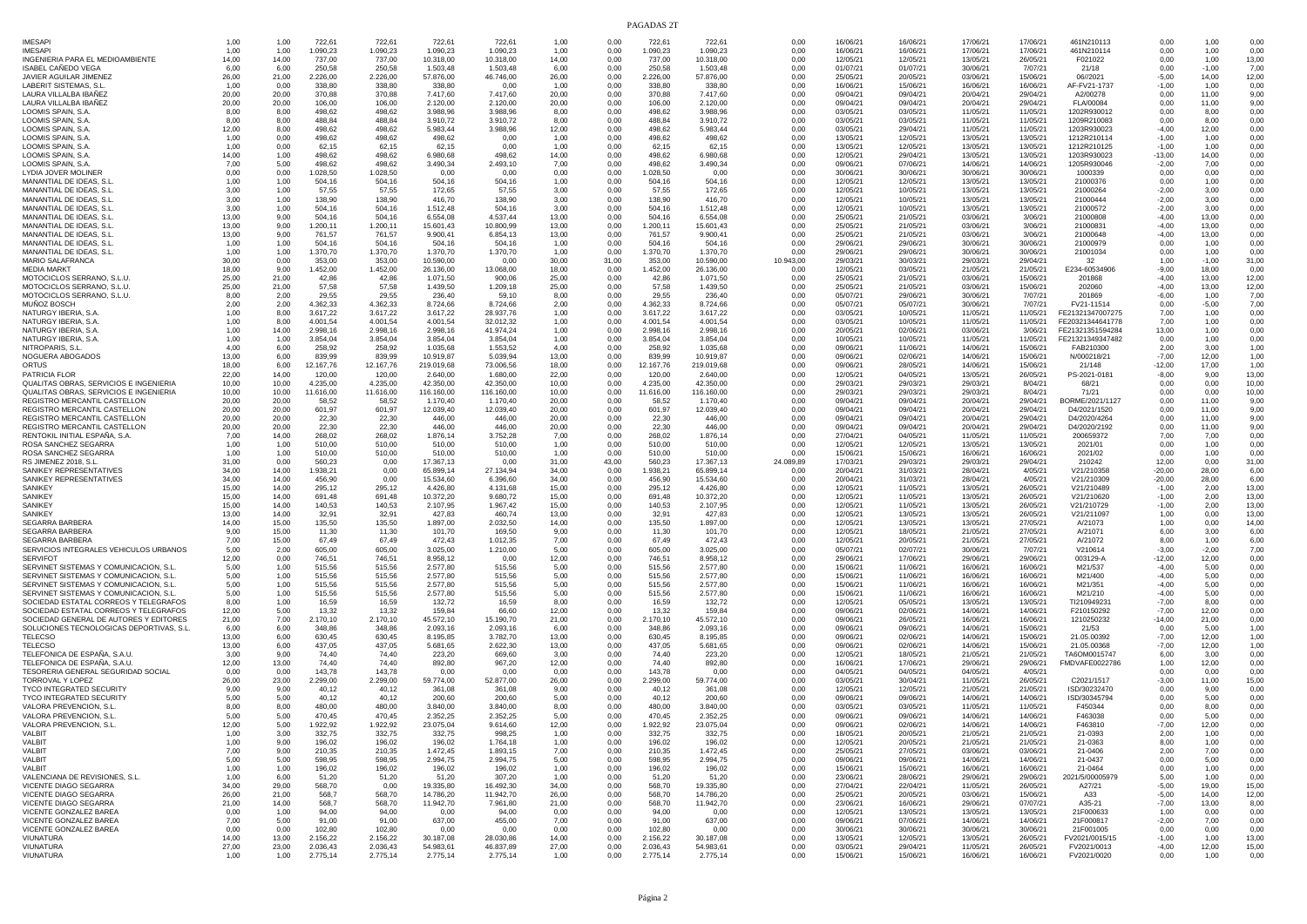| <b>IMESAPI</b><br><b>IMESAPI</b>                                                 | 1,00           | 1,00           | 722,61                | 722,61                | 722,61                  | 722,61                  | 1,00           | 0,00         | 722,61                | 722,61                  | 0,00         | 16/06/21             | 16/06/21             | 17/06/21             | 17/06/21             | 461N210113                           | 0,00                 | 1,00             | 0,00           |
|----------------------------------------------------------------------------------|----------------|----------------|-----------------------|-----------------------|-------------------------|-------------------------|----------------|--------------|-----------------------|-------------------------|--------------|----------------------|----------------------|----------------------|----------------------|--------------------------------------|----------------------|------------------|----------------|
| INGENIERIA PARA EL MEDIOAMBIENTE                                                 | 1,00<br>14,00  | 1,00<br>14,00  | 1.090,23<br>737,00    | 1.090,23<br>737,00    | 1.090,23<br>10.318,00   | 1.090,23<br>10.318,00   | 1.00<br>14,00  | 0.00<br>0.00 | 1.090,23<br>737,00    | 1.090,23<br>10.318,00   | 0,00<br>0,00 | 16/06/21<br>12/05/21 | 16/06/21<br>12/05/21 | 17/06/21<br>13/05/21 | 17/06/21<br>26/05/21 | 461N210114<br>F021022                | 0.00<br>0,00         | 1,00<br>1,00     | 0,00<br>13,00  |
| ISABEL CAÑEDO VEGA                                                               | 6.00           | 6.00           | 250,58                | 250.58                | 1.503.48                | 1.503.48                | 6.00           | 0,00         | 250.58                | 1.503,48                | 0,00         | 01/07/21             | 01/07/21             | 30/06/21             | 7/07/21              | 21/18                                | 0,00                 | $-1,00$          | 7,00           |
| JAVIER AGUILAR JIMENEZ<br>LABERIT SISTEMAS, S.L.                                 | 26,00<br>1.00  | 21,00<br>0,00  | 2.226,00<br>338.80    | 2.226,00<br>338.80    | 57.876,00<br>338.80     | 46.746,00<br>0.00       | 26,00<br>1.00  | 0,00<br>0,00 | 2.226,00<br>338,80    | 57.876,00<br>338.80     | 0,00<br>0,00 | 25/05/21<br>16/06/21 | 20/05/21<br>15/06/21 | 03/06/21<br>16/06/21 | 15/06/21<br>16/06/21 | 06//2021<br>AF-FV21-1737             | $-5,00$<br>$-1,00$   | 14,00<br>1,00    | 12,00<br>0,00  |
| LAURA VILLALBA IBAÑEZ                                                            | 20,00          | 20,00          | 370,88                | 370,88                | 7.417,60                | 7.417,60                | 20,00          | 0,00         | 370,88                | 7.417,60                | 0,00         | 09/04/21             | 09/04/21             | 20/04/21             | 29/04/21             | A2/00278                             | 0,00                 | 11,00            | 9,00           |
| LAURA VILLALBA IBAÑEZ<br>LOOMIS SPAIN, S.A.                                      | 20,00<br>8,00  | 20,00<br>8,00  | 106.00<br>498,62      | 106,00<br>498,62      | 2.120,00<br>3.988,96    | 2.120,00<br>3.988.96    | 20,00<br>8,00  | 0,00<br>0,00 | 106.00<br>498,62      | 2.120,00<br>3.988,96    | 0,00<br>0,00 | 09/04/21<br>03/05/21 | 09/04/21<br>03/05/21 | 20/04/21<br>11/05/21 | 29/04/21<br>11/05/21 | FLA/00084<br>1202R930012             | 0,00<br>0,00         | 11,00<br>8,00    | 9,00<br>0,00   |
| LOOMIS SPAIN, S.A                                                                | 8.00           | 8,00           | 488,84                | 488,84                | 3.910,72                | 3.910.72                | 8.00           | 0,00         | 488,84                | 3.910,72                | 0,00         | 03/05/21             | 03/05/21             | 11/05/21             | 11/05/21             | 1209R210083                          | 0,00                 | 8.00             | 0,00           |
| LOOMIS SPAIN, S.A<br>LOOMIS SPAIN, S.A                                           | 12,00<br>1.00  | 8,00<br>0,00   | 498,62<br>498.62      | 498,62<br>498,62      | 5.983,44<br>498,62      | 3.988,96<br>0.00        | 12,00<br>1.00  | 0,00<br>0,00 | 498,62<br>498,62      | 5.983,44<br>498.62      | 0,00<br>0,00 | 03/05/21<br>13/05/21 | 29/04/21<br>12/05/21 | 11/05/21<br>13/05/21 | 11/05/21<br>13/05/21 | 1203R930023<br>1212R210114           | $-4,00$<br>$-1,00$   | 12,00<br>1,00    | 0,00<br>0.00   |
| LOOMIS SPAIN, S.A                                                                | 1,00           | 0,00           | 62,15                 | 62,15                 | 62,15                   | 0,00                    | 1,00           | 0,00         | 62,15                 | 62.15                   | 0,00         | 13/05/21             | 12/05/21             | 13/05/21             | 13/05/21             | 1212R210125                          | $-1,00$              | 1,00             | 0,00           |
| LOOMIS SPAIN, S.A<br>LOOMIS SPAIN, S.A.                                          | 14.00<br>7,00  | 1,00<br>5,00   | 498,62<br>498,62      | 498,62<br>498,62      | 6.980,68<br>3.490,34    | 498,62<br>2.493,10      | 14,00<br>7,00  | 0,00<br>0,00 | 498,62<br>498,62      | 6.980,68<br>3.490,34    | 0,00<br>0,00 | 12/05/21<br>09/06/21 | 29/04/21<br>07/06/21 | 13/05/21<br>14/06/21 | 13/05/21<br>14/06/21 | 1203R930023<br>1205R930046           | $-13,00$<br>$-2,00$  | 14,00<br>7,00    | 0,00<br>0,00   |
| LYDIA JOVER MOLINER                                                              | 0,00           | 0,00           | 1.028,50              | 1.028,50              | 0.00                    | 0.00                    | 0.00           | 0,00         | 1.028,50              | 0.00                    | 0,00         | 30/06/21             | 30/06/21             | 30/06/21             | 30/06/21             | 1000339                              | 0,00                 | 0,00             | 0,00           |
| MANANTIAL DE IDEAS, S.L                                                          | 1,00           | 1,00           | 504,16                | 504,16                | 504,16                  | 504,16                  | 1,00           | 0,00         | 504,16                | 504,16                  | 0,00         | 12/05/21             | 12/05/21             | 13/05/21             | 13/05/21             | 21000376                             | 0,00                 | 1,00             | 0,00           |
| MANANTIAL DE IDEAS, S.L<br>MANANTIAL DE IDEAS, S.L                               | 3,00<br>3,00   | 1,00<br>1,00   | 57,55<br>138,90       | 57,55<br>138,90       | 172,65<br>416,70        | 57,55<br>138,90         | 3,00<br>3,00   | 0,00<br>0,00 | 57,55<br>138,90       | 172,65<br>416,70        | 0,00<br>0,00 | 12/05/21<br>12/05/21 | 10/05/21<br>10/05/21 | 13/05/21<br>13/05/21 | 13/05/21<br>13/05/21 | 21000264<br>21000444                 | $-2,00$<br>$-2,00$   | 3,00<br>3,00     | 0,00<br>0,00   |
| MANANTIAL DE IDEAS, S.L                                                          | 3.00           | 1,00           | 504,16                | 504,16                | 1.512,48                | 504.16                  | 3.00           | 0,00         | 504,16                | 1.512,48                | 0,00         | 12/05/21             | 10/05/21             | 13/05/21             | 13/05/21             | 21000572                             | $-2,00$              | 3,00             | 0.00           |
| MANANTIAL DE IDEAS, S.L<br>MANANTIAL DE IDEAS, S.L                               | 13,00<br>13.00 | 9,00<br>9,00   | 504,16<br>1.200,11    | 504,16<br>1.200,11    | 6.554,08<br>15.601,43   | 4.537,44<br>10,800.99   | 13,00<br>13,00 | 0,00<br>0,00 | 504,16<br>1.200,11    | 6.554,08<br>15.601,43   | 0,00<br>0,00 | 25/05/21<br>25/05/21 | 21/05/21<br>21/05/21 | 03/06/21<br>03/06/21 | 3/06/21<br>3/06/21   | 21000808<br>21000831                 | $-4,00$<br>$-4,00$   | 13,00<br>13,00   | 0,00<br>0,00   |
| MANANTIAL DE IDEAS, S.L.                                                         | 13,00          | 9,00           | 761,57                | 761.57                | 9.900,41                | 6.854,13                | 13,00          | 0,00         | 761,57                | 9.900,41                | 0,00         | 25/05/21             | 21/05/21             | 03/06/21             | 3/06/21              | 21000648                             | $-4,00$              | 13,00            | 0,00           |
| MANANTIAL DE IDEAS, S.L.<br>MANANTIAL DE IDEAS, S.L.                             | 1,00<br>1,00   | 1,00<br>1,00   | 504,16<br>1.370,70    | 504,16<br>1.370,70    | 504,16<br>1.370,70      | 504,16<br>1.370,70      | 1,00<br>1.00   | 0,00<br>0,00 | 504,16<br>1.370,70    | 504,16<br>1.370,70      | 0,00<br>0,00 | 29/06/21<br>29/06/21 | 29/06/21<br>29/06/21 | 30/06/21<br>30/06/21 | 30/06/21<br>30/06/21 | 21000979<br>21001034                 | 0,00<br>0,00         | 1,00<br>1,00     | 0,00<br>0,00   |
| MARIO SALAFRANCA                                                                 | 30,00          | 0,00           | 353,00                | 353,00                | 10.590,00               | 0.00                    | 30,00          | 31,00        | 353,00                | 10.590,00               | 10.943,00    | 29/03/21             | 30/03/21             | 29/03/21             | 29/04/21             | 32                                   | 1,00                 | $-1,00$          | 31,00          |
| <b>MEDIA MARKT</b><br>MOTOCICLOS SERRANO, S.L.U.                                 | 18.00<br>25,00 | 9,00<br>21,00  | 1.452,00<br>42,86     | 1.452,00<br>42,86     | 26.136,00<br>1.071,50   | 13.068,00<br>900.06     | 18,00<br>25,00 | 0,00<br>0.00 | 1.452,00<br>42,86     | 26.136,00<br>1.071,50   | 0,00<br>0,00 | 12/05/21<br>25/05/21 | 03/05/21<br>21/05/21 | 21/05/21<br>03/06/21 | 21/05/21<br>15/06/21 | E234-60534906<br>201868              | $-9,00$<br>$-4,00$   | 18,00<br>13,00   | 0,00<br>12,00  |
| MOTOCICLOS SERRANO, S.L.U.                                                       | 25,00          | 21,00          | 57,58                 | 57,58                 | 1.439.50                | 1.209,18                | 25,00          | 0,00         | 57,58                 | 1.439,50                | 0,00         | 25/05/21             | 21/05/21             | 03/06/21             | 15/06/21             | 202060                               | $-4,00$              | 13,00            | 12,00          |
| MOTOCICLOS SERRANO, S.L.U.                                                       | 8.00<br>2.00   | 2,00<br>2,00   | 29,55<br>4.362,33     | 29.55<br>4.362,33     | 236,40<br>8.724,66      | 59.10<br>8.724,66       | 8,00<br>2,00   | 0,00<br>0,00 | 29,55<br>4.362,33     | 236,40<br>8.724,66      | 0,00<br>0,00 | 05/07/21<br>05/07/21 | 29/06/21<br>05/07/21 | 30/06/21<br>30/06/21 | 7/07/21<br>7/07/21   | 201869<br>FV21-11514                 | $-6,00$<br>0.00      | 1,00<br>$-5,00$  | 7,00<br>7,00   |
| MUNOZ BOSCH<br>NATURGY IBERIA, S.A                                               | 1,00           | 8,00           | 3.617,22              | 3.617,22              | 3.617,22                | 28.937,76               | 1,00           | 0,00         | 3.617,22              | 3.617,22                | 0,00         | 03/05/21             | 10/05/21             | 11/05/21             | 11/05/21             | FE21321347007275                     | 7,00                 | 1,00             | 0,00           |
| NATURGY IBERIA, S.A                                                              | 1,00           | 8,00           | 4.001,54              | 4.001,54              | 4.001,54                | 32.012,32               | 1,00           | 0,00         | 4.001,54              | 4.001,54                | 0,00         | 03/05/21             | 10/05/21             | 11/05/21             | 11/05/21             | FE20321344641778                     | 7,00                 | 1,00             | 0,00           |
| NATURGY IBERIA, S.A<br>NATURGY IBERIA, S.A                                       | 1,00<br>1,00   | 14,00<br>1,00  | 2.998,16<br>3.854,04  | 2.998,16<br>3.854,04  | 2.998,16<br>3.854,04    | 41.974,24<br>3.854.04   | 1,00<br>1,00   | 0,00<br>0,00 | 2.998,16<br>3.854,04  | 2.998,16<br>3.854,04    | 0,00<br>0,00 | 20/05/21<br>10/05/21 | 02/06/21<br>10/05/21 | 03/06/21<br>11/05/21 | 3/06/21<br>11/05/21  | FE21321351594284<br>FE21321349347482 | 13,00<br>0.00        | 1,00<br>1,00     | 0,00<br>0,00   |
| NITROPARIS, S.L.                                                                 | 4,00           | 6,00           | 258,92                | 258,92                | 1.035,68                | 1.553,52                | 4,00           | 0.00         | 258,92                | 1.035,68                | 0,00         | 09/06/21             | 11/06/21             | 14/06/21             | 15/06/21             | FAB210300                            | 2,00                 | 3,00             | 1,00           |
| NOGUERA ABOGADOS<br>ORTUS                                                        | 13,00<br>18.00 | 6,00<br>6,00   | 839,99<br>12.167,76   | 839,99<br>12.167,76   | 10.919,87<br>219.019,68 | 5.039,94<br>73.006,56   | 13,00<br>18,00 | 0,00<br>0,00 | 839,99<br>12.167,76   | 10.919,87<br>219.019,68 | 0,00<br>0,00 | 09/06/21<br>09/06/21 | 02/06/21<br>28/05/21 | 14/06/21<br>14/06/21 | 15/06/21<br>15/06/21 | N/000218/21<br>21/148                | $-7,00$<br>$-12,00$  | 12,00<br>17,00   | 1,00<br>1,00   |
| PATRICIA FLOR                                                                    | 22,00          | 14,00          | 120,00                | 120,00                | 2.640,00                | 1.680.00                | 22,00          | 0,00         | 120,00                | 2.640,00                | 0,00         | 12/05/21             | 04/05/21             | 13/05/21             | 26/05/21             | PS-2021-0181                         | $-8,00$              | 9,00             | 13,00          |
| QUALITAS OBRAS, SERVICIOS E INGENIERIA<br>QUALITAS OBRAS, SERVICIOS E INGENIERIA | 10,00<br>10,00 | 10,00<br>10,00 | 4.235,00<br>11.616,00 | 4.235,00<br>11.616,00 | 42.350,00<br>116.160.00 | 42.350,00<br>116,160.00 | 10,00<br>10,00 | 0,00<br>0,00 | 4.235,00<br>11.616,00 | 42.350,00<br>116.160,00 | 0,00<br>0,00 | 29/03/21<br>29/03/21 | 29/03/21<br>29/03/21 | 29/03/21<br>29/03/21 | 8/04/21<br>8/04/21   | 68/21<br>71/21                       | 0,00<br>0,00         | 0,00<br>0,00     | 10,00<br>10,00 |
| REGISTRO MERCANTIL CASTELLON                                                     | 20,00          | 20,00          | 58,52                 | 58,52                 | 1.170,40                | 1.170,40                | 20,00          | 0,00         | 58,52                 | 1.170,40                | 0,00         | 09/04/21             | 09/04/21             | 20/04/21             | 29/04/21             | BORME/2021/1127                      | 0,00                 | 11,00            | 9,00           |
| REGISTRO MERCANTIL CASTELLON<br>REGISTRO MERCANTIL CASTELLON                     | 20,00<br>20.00 | 20,00<br>20,00 | 601,97<br>22,30       | 601,97<br>22,30       | 12.039,40<br>446.00     | 12.039,40<br>446.00     | 20,00<br>20,00 | 0,00<br>0,00 | 601,97<br>22,30       | 12.039,40<br>446.00     | 0,00<br>0,00 | 09/04/21<br>09/04/21 | 09/04/21<br>09/04/21 | 20/04/21<br>20/04/21 | 29/04/21<br>29/04/21 | D4/2021/1520<br>D4/2020/4264         | 0,00<br>0.00         | 11,00<br>11,00   | 9,00<br>9,00   |
| REGISTRO MERCANTIL CASTELLON                                                     | 20,00          | 20,00          | 22,30                 | 22,30                 | 446,00                  | 446,00                  | 20,00          | 0.00         | 22,30                 | 446,00                  | 0,00         | 09/04/21             | 09/04/21             | 20/04/21             | 29/04/21             | D4/2020/2192                         | 0,00                 | 11,00            | 9,00           |
| RENTOKIL INITIAL ESPANA. S.A<br>ROSA SANCHEZ SEGARRA                             | 7.00<br>1,00   | 14,00<br>1,00  | 268.02<br>510,00      | 268,02<br>510,00      | 1.876,14<br>510,00      | 3.752,28<br>510,00      | 7,00<br>1,00   | 0,00<br>0,00 | 268.02<br>510,00      | 1.876,14<br>510,00      | 0,00<br>0,00 | 27/04/21<br>12/05/21 | 04/05/21<br>12/05/21 | 11/05/21<br>13/05/21 | 11/05/21<br>13/05/21 | 200659372<br>2021/01                 | 7,00<br>0,00         | 7,00<br>1,00     | 0.00<br>0,00   |
| ROSA SANCHEZ SEGARRA                                                             | 1.00           | 1,00           | 510,00                | 510,00                | 510,00                  | 510,00                  | 1.00           | 0,00         | 510,00                | 510.00                  | 0,00         | 15/06/21             | 15/06/21             | 16/06/21             | 16/06/21             | 2021/02                              | 0,00                 | 1,00             | 0,00           |
| RS JIMENEZ 2018, S.L.                                                            | 31,00          | 0,00           | 560,23                | 0,00                  | 17.367,13               | 0.00                    | 31,00          | 43,00        | 560,23                | 17.367,13               | 24.089,89    | 17/03/21             | 29/03/21             | 29/03/21             | 29/04/21             | 210242                               | 12,00                | 0,00             | 31,00          |
| SANIKEY REPRESENTATIVES<br>SANIKEY REPRESENTATIVES                               | 34,00<br>34,00 | 14,00<br>14,00 | 1.938,21<br>456,90    | 0,00<br>0,00          | 65.899,14<br>15.534,60  | 27.134,94<br>6.396,60   | 34,00<br>34,00 | 0,00<br>0,00 | 1.938,21<br>456,90    | 65.899,14<br>15.534,60  | 0,00<br>0,00 | 20/04/21<br>20/04/21 | 31/03/21<br>31/03/21 | 28/04/21<br>28/04/21 | 4/05/21<br>4/05/21   | V21/210358<br>V21/210309             | $-20,00$<br>$-20,00$ | 28,00<br>28,00   | 6,00<br>6,00   |
| SANIKEY                                                                          | 15,00          | 14,00          | 295,12                | 295,12                | 4.426,80                | 4.131,68                | 15,00          | 0,00         | 295,12                | 4.426,80                | 0,00         | 12/05/21             | 11/05/21             | 13/05/21             | 26/05/21             | V21/210489                           | $-1,00$              | 2,00             | 13,00          |
| SANIKEY<br><b>SANIKE</b>                                                         | 15,00<br>15.00 | 14,00<br>14,00 | 691,48<br>140,53      | 691,48<br>140,53      | 10.372,20<br>2.107.95   | 9.680,72<br>1.967,42    | 15,00<br>15.00 | 0,00<br>0,00 | 691,48<br>140,53      | 10.372,20<br>2.107,95   | 0,00<br>0,00 | 12/05/21<br>12/05/21 | 11/05/21<br>11/05/21 | 13/05/21<br>13/05/21 | 26/05/21<br>26/05/21 | V21/210620<br>V21/210729             | $-1,00$<br>$-1,00$   | 2,00<br>2,00     | 13,00<br>13,00 |
| <b>SANIKE</b>                                                                    | 13,00          | 14,00          | 32,91                 | 32,91                 | 427,83                  | 460,74                  | 13,00          | 0,00         | 32,91                 | 427,83                  | 0,00         | 12/05/21             | 13/05/21             | 13/05/21             | 26/05/21             | V21/211097                           | 1,00                 | 0,00             | 13,00          |
| SEGARRA BARBERA<br>SEGARRA BARBERA                                               | 14.00<br>9,00  | 15,00<br>15,00 | 135.50<br>11,30       | 135,50<br>11,30       | 1.897,00<br>101,70      | 2.032,50<br>169,50      | 14,00<br>9,00  | 0,00<br>0,00 | 135,50<br>11,30       | 1.897,00<br>101,70      | 0,00<br>0,00 | 12/05/21<br>12/05/21 | 13/05/21<br>18/05/21 | 13/05/21<br>21/05/21 | 27/05/21<br>27/05/21 | A/21073<br>A/21071                   | 1.00<br>6,00         | 0,00<br>3,00     | 14,00<br>6,00  |
| SEGARRA BARBERA                                                                  | 7,00           | 15,00          | 67,49                 | 67,49                 | 472,43                  | 1.012,35                | 7,00           | 0,00         | 67,49                 | 472,43                  | 0,00         | 12/05/21             | 20/05/21             | 21/05/21             | 27/05/21             | A/21072                              | 8,00                 | 1,00             | 6,00           |
| SERVICIOS INTEGRALES VEHICULOS URBANOS<br><b>SERVIFOT</b>                        | 5,00<br>12,00  | 2,00<br>0,00   | 605,00<br>746,51      | 605,00<br>746,51      | 3.025,00<br>8.958,12    | 1.210,00<br>0.00        | 5,00<br>12,00  | 0,00<br>0,00 | 605,00<br>746,51      | 3.025,00<br>8.958,12    | 0,00<br>0,00 | 05/07/21<br>29/06/21 | 02/07/21<br>17/06/21 | 30/06/21<br>29/06/21 | 7/07/21<br>29/06/21  | V210614<br>003129-A                  | $-3,00$<br>$-12,00$  | $-2,00$<br>12,00 | 7,00<br>0,00   |
| SERVINET SISTEMAS Y COMUNICACION, S.L.                                           | 5.00           | 1,00           | 515,56                | 515,56                | 2.577,80                | 515,56                  | 5.00           | 0,00         | 515,56                | 2.577,80                | 0,00         | 15/06/21             | 11/06/21             | 16/06/21             | 16/06/21             | M21/537                              | $-4,00$              | 5,00             | 0,00           |
| SERVINET SISTEMAS Y COMUNICACION, S.L<br>SERVINET SISTEMAS Y COMUNICACION, S.L   | 5,00<br>5,00   | 1,00<br>1,00   | 515,56<br>515,56      | 515,56<br>515,56      | 2.577,80<br>2.577,80    | 515.56<br>515,56        | 5.00<br>5,00   | 0,00<br>0,00 | 515,56<br>515,56      | 2.577,80<br>2.577,80    | 0,00<br>0,00 | 15/06/21<br>15/06/21 | 11/06/21<br>11/06/21 | 16/06/21<br>16/06/21 | 16/06/21<br>16/06/21 | M21/400<br>M21/351                   | $-4,00$<br>$-4,00$   | 5,00<br>5,00     | 0.00<br>0,00   |
| SERVINET SISTEMAS Y COMUNICACION, S.L.                                           | 5,00           | 1,00           | 515,56                | 515,56                | 2.577,80                | 515,56                  | 5.00           | 0,00         | 515,56                | 2.577,80                | 0,00         | 15/06/21             | 11/06/21             | 16/06/21             | 16/06/21             | M21/210                              | $-4,00$              | 5,00             | 0,00           |
| SOCIEDAD ESTATAL CORREOS Y TELEGRAFOS<br>SOCIEDAD ESTATAL CORREOS Y TELEGRAFOS   | 8,00<br>12,00  | 1,00<br>5,00   | 16,59<br>13,32        | 16,59<br>13,32        | 132,72<br>159,84        | 16,59<br>66,60          | 8.00<br>12,00  | 0,00<br>0,00 | 16,59<br>13,32        | 132.72<br>159,84        | 0,00<br>0,00 | 12/05/21<br>09/06/21 | 05/05/21<br>02/06/21 | 13/05/21<br>14/06/21 | 13/05/21<br>14/06/21 | TI210949231<br>F210150292            | $-7,00$<br>$-7,00$   | 8,00<br>12,00    | 0,00<br>0,00   |
| SOCIEDAD GENERAL DE AUTORES Y EDITORES                                           | 21,00          | 7,00           | 2.170,10              | 2.170,10              | 45.572,10               | 15.190.70               | 21,00          | 0,00         | 2.170,10              | 45.572,10               | 0,00         | 09/06/21             | 26/05/21             | 16/06/21             | 16/06/21             | 1210250232                           | $-14,00$             | 21,00            | 0,00           |
| SOLUCIONES TECNOLOGICAS DEPORTIVAS, S.L<br>TELECSO                               | 6,00<br>13,00  | 6,00<br>6,00   | 348,86<br>630,45      | 348,86<br>630,45      | 2.093,16<br>8.195,85    | 2.093,16<br>3.782,70    | 6,00<br>13,00  | 0,00<br>0,00 | 348,86<br>630,45      | 2.093,16<br>8.195,85    | 0,00<br>0,00 | 09/06/21<br>09/06/21 | 09/06/21<br>02/06/21 | 14/06/21<br>14/06/21 | 15/06/21<br>15/06/21 | 21/53<br>21.05.00392                 | 0,00<br>$-7,00$      | 5,00<br>12,00    | 1,00<br>1,00   |
| TELECSO                                                                          | 13,00          | 6,00           | 437,05                | 437,05                | 5.681,65                | 2.622,30                | 13,00          | 0.00         | 437,05                | 5.681,65                | 0,00         | 09/06/21             | 02/06/21             | 14/06/21             | 15/06/21             | 21.05.00368                          | $-7,00$              | 12,00            | 1,00           |
| TELEFONICA DE ESPAÑA, S.A.U.<br>TELEFONICA DE ESPANA, S.A.U                      | 3.00<br>12,00  | 9,00<br>13,00  | 74.40<br>74,40        | 74,40<br>74,40        | 223,20<br>892,80        | 669.60<br>967,20        | 3.00<br>12,00  | 0,00<br>0,00 | 74,40<br>74.40        | 223.20<br>892,80        | 0,00<br>0,00 | 12/05/21<br>16/06/21 | 18/05/21<br>17/06/21 | 21/05/21<br>29/06/21 | 21/05/21<br>29/06/21 | TA6OM0015747<br>FMDVAFE0022786       | 6,00<br>1,00         | 3,00<br>12,00    | 0,00<br>0,00   |
| TESORERIA GENERAL SEGURIDAD SOCIAL                                               | 0.00           | 0,00           | 143,78                | 143,78                | 0.00                    | 0,00                    | 0.00           | 0,00         | 143,78                | 0.00                    | 0,00         | 04/05/21             | 04/05/21             | 04/05/21             | 4/05/21              |                                      | 0.00                 | 0,00             | 0,00           |
| TORROVAL Y LOPEZ<br><b>TYCO INTEGRATED SECURITY</b>                              | 26,00<br>9.00  | 23,00<br>9,00  | 2.299,00<br>40.12     | 2.299,00<br>40,12     | 59.774,00<br>361.08     | 52.877,00<br>361.08     | 26,00<br>9.00  | 0,00<br>0,00 | 2.299,00<br>40,12     | 59.774,00<br>361.08     | 0,00<br>0,00 | 03/05/21<br>12/05/21 | 30/04/21<br>12/05/21 | 11/05/21<br>21/05/21 | 26/05/21<br>21/05/21 | C2021/1517<br>ISD/30232470           | $-3,00$<br>0,00      | 11,00<br>9,00    | 15,00<br>0,00  |
| TYCO INTEGRATED SECURITY                                                         | 5,00           | 5,00           | 40,12                 | 40,12                 | 200,60                  | 200,60                  | 5,00           | 0,00         | 40,12                 | 200,60                  | 0,00         | 09/06/21             | 09/06/21             | 14/06/21             | 14/06/21             | ISD/30345794                         | 0,00                 | 5,00             | 0,00           |
| VALORA PREVENCION. S.L<br>VALORA PREVENCION, S.L                                 | 8.00<br>5,00   | 8,00<br>5,00   | 480,00<br>470,45      | 480,00<br>470,45      | 3.840,00<br>2.352,25    | 3.840,00<br>2.352,25    | 8.00<br>5.00   | 0,00<br>0.00 | 480,00<br>470,45      | 3.840,00<br>2.352,25    | 0,00<br>0,00 | 03/05/21<br>09/06/21 | 03/05/21<br>09/06/21 | 11/05/21<br>14/06/21 | 11/05/21<br>14/06/21 | F450344<br>F463038                   | 0,00<br>0,00         | 8.00<br>5,00     | 0,00<br>0,00   |
| VALORA PREVENCION, S.L.                                                          | 12.00          | 5,00           | 1.922.92              | 1.922,92              | 23.075,04               | 9.614.60                | 12.00          | 0.00         | 1.922,92              | 23.075,04               | 0.00         | 09/06/21             | 02/06/21             | 14/06/21             | 14/06/21             | F463810                              | $-7,00$              | 12,00            | 0,00           |
| /ALBI`<br>VALBIT                                                                 | 1,00<br>1.00   | 3,00           | 332,75                | 332,75<br>196,02      | 332,75                  | 998,25<br>1.764,18      | 1,00<br>1.00   | 0,00<br>0.00 | 332,75                | 332,75<br>196,02        | 0,00<br>0.00 | 18/05/2              | 20/05/2              | 21/05/2              | 21/05/21<br>21/05/21 | 21-0393                              | 2,00<br>8.00         | 1,00             | 0,00<br>0,00   |
| VALBIT                                                                           | 7,00           | 9,00<br>9,00   | 196,02<br>210,35      | 210,35                | 196,02<br>1.472,45      | 1.893,15                | 7,00           | 0,00         | 196,02<br>210,35      | 1.472,45                | 0,00         | 12/05/21<br>25/05/21 | 20/05/21<br>27/05/21 | 21/05/21<br>03/06/21 | 03/06/21             | 21-0363<br>21-0406                   | 2,00                 | 1,00<br>7,00     | 0,00           |
| VALBIT                                                                           | 5,00           | 5,00           | 598,95                | 598,95                | 2.994,75                | 2.994,75                | 5,00           | 0,00         | 598.95                | 2.994,75                | 0,00         | 09/06/21             | 09/06/21             | 14/06/21             | 14/06/21             | 21-0437                              | 0,00                 | 5,00             | 0,00           |
| VALBIT<br>VALENCIANA DE REVISIONES, S.L.                                         | 1,00<br>1,00   | 1,00<br>6,00   | 196,02<br>51,20       | 196,02<br>51,20       | 196,02<br>51,20         | 196,02<br>307,20        | 1,00<br>1,00   | 0,00<br>0,00 | 196,02<br>51,20       | 196,02<br>51,20         | 0,00<br>0,00 | 15/06/21<br>23/06/21 | 15/06/21<br>28/06/21 | 16/06/21<br>29/06/21 | 16/06/21<br>29/06/21 | 21-0464<br>2021/5/00005979           | 0,00<br>5,00         | 1,00<br>1,00     | 0,00<br>0,00   |
| VICENTE DIAGO SEGARRA                                                            | 34,00          | 29,00          | 568,70                | 0,00                  | 19.335,80               | 16.492.30               | 34,00          | 0,00         | 568.70                | 19.335,80               | 0,00         | 27/04/21             | 22/04/21             | 11/05/21             | 26/05/21             | A27/21                               | $-5,00$              | 19,00            | 15,00          |
| VICENTE DIAGO SEGARRA<br>VICENTE DIAGO SEGARRA                                   | 26,00<br>21,00 | 21.00<br>14,00 | 568,7<br>568.7        | 568,70<br>568,70      | 14.786,20<br>11.942,70  | 11.942,70<br>7.961,80   | 26,00<br>21,00 | 0.00<br>0,00 | 568,70<br>568.70      | 14.786,20<br>11.942,70  | 0,00<br>0,00 | 25/05/21<br>23/06/21 | 20/05/21<br>16/06/21 | 03/06/21<br>29/06/21 | 15/06/21<br>07/07/21 | A33<br>A35-21                        | $-5,00$<br>$-7,00$   | 14,00<br>13,00   | 12,00<br>8.00  |
| VICENTE GONZALEZ BAREA                                                           | 0,00           | 1,00           | 94.00                 | 94,00                 | 0,00                    | 94,00                   | 0,00           | 0,00         | 94,00                 | 0,00                    | 0,00         | 12/05/21             | 13/05/21             | 13/05/21             | 13/05/21             | 21F000633                            | 1,00                 | 0,00             | 0,00           |
| VICENTE GONZALEZ BAREA<br>VICENTE GONZALEZ BAREA                                 | 7,00<br>0,00   | 5,00<br>0,00   | 91.00<br>102,80       | 91,00<br>102,80       | 637,00<br>0,00          | 455,00<br>0,00          | 7,00<br>0,00   | 0.00<br>0,00 | 91,00<br>102,80       | 637.00<br>0.00          | 0,00<br>0,00 | 09/06/21<br>30/06/21 | 07/06/21<br>30/06/21 | 14/06/21<br>30/06/21 | 14/06/21<br>30/06/21 | 21F000817<br>21F001005               | $-2,00$<br>0,00      | 7,00<br>0,00     | 0,00<br>0,00   |
| VIUNATURA                                                                        | 14,00          | 13,00          | 2.156,22              | 2.156,22              | 30.187,08               | 28.030,86               | 14,00          | 0,00         | 2.156,22              | 30.187,08               | 0,00         | 13/05/21             | 12/05/21             | 13/05/21             | 26/05/21             | FV2021/0015/15                       | $-1,00$              | 1,00             | 13,00          |
| VIUNATURA<br>VIUNATURA                                                           | 27,00<br>1,00  | 23,00<br>1,00  | 2.036,43<br>2.775,14  | 2.036,43<br>2.775,14  | 54.983,61<br>2.775,14   | 46.837,89<br>2.775,14   | 27,00<br>1,00  | 0,00<br>0,00 | 2.036,43<br>2.775,14  | 54.983,61<br>2.775,14   | 0,00<br>0,00 | 03/05/21<br>15/06/21 | 29/04/21<br>15/06/21 | 11/05/21<br>16/06/21 | 26/05/21<br>16/06/21 | FV2021/0013<br>FV2021/0020           | $-4,00$<br>0,00      | 12,00            | 15,00<br>0,00  |
|                                                                                  |                |                |                       |                       |                         |                         |                |              |                       |                         |              |                      |                      |                      |                      |                                      |                      | 1,00             |                |

PAGADAS 2T